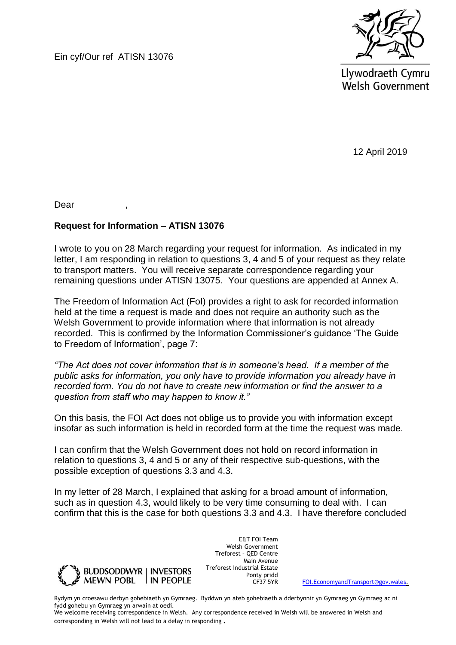Ein cyf/Our ref ATISN 13076



Llywodraeth Cymru **Welsh Government** 

12 April 2019

Dear ,

## **Request for Information – ATISN 13076**

I wrote to you on 28 March regarding your request for information. As indicated in my letter, I am responding in relation to questions 3, 4 and 5 of your request as they relate to transport matters. You will receive separate correspondence regarding your remaining questions under ATISN 13075. Your questions are appended at Annex A.

The Freedom of Information Act (FoI) provides a right to ask for recorded information held at the time a request is made and does not require an authority such as the Welsh Government to provide information where that information is not already recorded. This is confirmed by the Information Commissioner's guidance 'The Guide to Freedom of Information', page 7:

*"The Act does not cover information that is in someone's head. If a member of the public asks for information, you only have to provide information you already have in recorded form. You do not have to create new information or find the answer to a question from staff who may happen to know it."* 

On this basis, the FOI Act does not oblige us to provide you with information except insofar as such information is held in recorded form at the time the request was made.

I can confirm that the Welsh Government does not hold on record information in relation to questions 3, 4 and 5 or any of their respective sub-questions, with the possible exception of questions 3.3 and 4.3.

In my letter of 28 March, I explained that asking for a broad amount of information, such as in question 4.3, would likely to be very time consuming to deal with. I can confirm that this is the case for both questions 3.3 and 4.3. I have therefore concluded



E&T FOI Team Welsh Government Treforest – QED Centre Main Avenue Treforest Industrial Estate Ponty pridd<br>CF37 5YR

[FOI.EconomyandTransport@gov.wales.](mailto:FOI.EconomyandTransport@gov.wales)

Rydym yn croesawu derbyn gohebiaeth yn Gymraeg. Byddwn yn ateb gohebiaeth a dderbynnir yn Gymraeg yn Gymraeg ac ni fydd gohebu yn Gymraeg yn arwain at oedi.

We welcome receiving correspondence in Welsh. Any correspondence received in Welsh will be answered in Welsh and corresponding in Welsh will not lead to a delay in responding.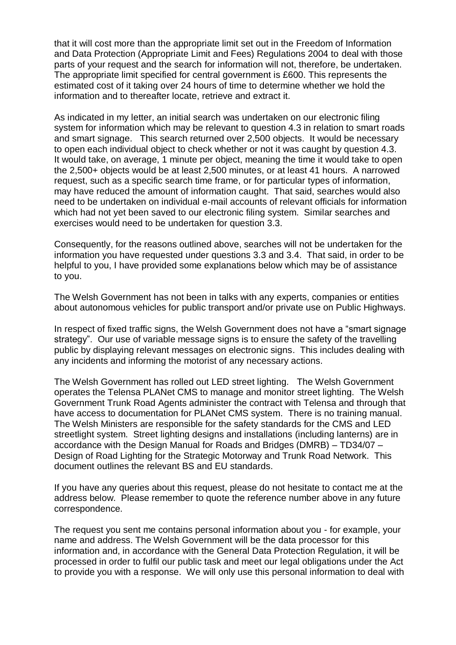that it will cost more than the appropriate limit set out in the Freedom of Information and Data Protection (Appropriate Limit and Fees) Regulations 2004 to deal with those parts of your request and the search for information will not, therefore, be undertaken. The appropriate limit specified for central government is £600. This represents the estimated cost of it taking over 24 hours of time to determine whether we hold the information and to thereafter locate, retrieve and extract it.

As indicated in my letter, an initial search was undertaken on our electronic filing system for information which may be relevant to question 4.3 in relation to smart roads and smart signage. This search returned over 2,500 objects. It would be necessary to open each individual object to check whether or not it was caught by question 4.3. It would take, on average, 1 minute per object, meaning the time it would take to open the 2,500+ objects would be at least 2,500 minutes, or at least 41 hours. A narrowed request, such as a specific search time frame, or for particular types of information, may have reduced the amount of information caught. That said, searches would also need to be undertaken on individual e-mail accounts of relevant officials for information which had not yet been saved to our electronic filing system. Similar searches and exercises would need to be undertaken for question 3.3.

Consequently, for the reasons outlined above, searches will not be undertaken for the information you have requested under questions 3.3 and 3.4. That said, in order to be helpful to you, I have provided some explanations below which may be of assistance to you.

The Welsh Government has not been in talks with any experts, companies or entities about autonomous vehicles for public transport and/or private use on Public Highways.

In respect of fixed traffic signs, the Welsh Government does not have a "smart signage strategy". Our use of variable message signs is to ensure the safety of the travelling public by displaying relevant messages on electronic signs. This includes dealing with any incidents and informing the motorist of any necessary actions.

The Welsh Government has rolled out LED street lighting. The Welsh Government operates the Telensa PLANet CMS to manage and monitor street lighting. The Welsh Government Trunk Road Agents administer the contract with Telensa and through that have access to documentation for PLANet CMS system. There is no training manual. The Welsh Ministers are responsible for the safety standards for the CMS and LED streetlight system. Street lighting designs and installations (including lanterns) are in accordance with the Design Manual for Roads and Bridges (DMRB) – TD34/07 – Design of Road Lighting for the Strategic Motorway and Trunk Road Network. This document outlines the relevant BS and EU standards.

If you have any queries about this request, please do not hesitate to contact me at the address below. Please remember to quote the reference number above in any future correspondence.

The request you sent me contains personal information about you - for example, your name and address. The Welsh Government will be the data processor for this information and, in accordance with the General Data Protection Regulation, it will be processed in order to fulfil our public task and meet our legal obligations under the Act to provide you with a response. We will only use this personal information to deal with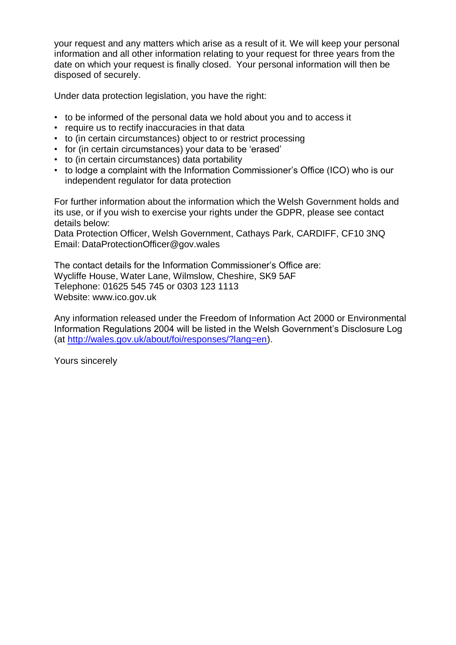your request and any matters which arise as a result of it. We will keep your personal information and all other information relating to your request for three years from the date on which your request is finally closed. Your personal information will then be disposed of securely.

Under data protection legislation, you have the right:

- to be informed of the personal data we hold about you and to access it
- require us to rectify inaccuracies in that data
- to (in certain circumstances) object to or restrict processing
- for (in certain circumstances) your data to be 'erased'
- to (in certain circumstances) data portability
- to lodge a complaint with the Information Commissioner's Office (ICO) who is our independent regulator for data protection

For further information about the information which the Welsh Government holds and its use, or if you wish to exercise your rights under the GDPR, please see contact details below:

Data Protection Officer, Welsh Government, Cathays Park, CARDIFF, CF10 3NQ Email: DataProtectionOfficer@gov.wales

The contact details for the Information Commissioner's Office are: Wycliffe House, Water Lane, Wilmslow, Cheshire, SK9 5AF Telephone: 01625 545 745 or 0303 123 1113 Website: www.ico.gov.uk

Any information released under the Freedom of Information Act 2000 or Environmental Information Regulations 2004 will be listed in the Welsh Government's Disclosure Log (at [http://wales.gov.uk/about/foi/responses/?lang=en\)](http://wales.gov.uk/about/foi/responses/?lang=en).

Yours sincerely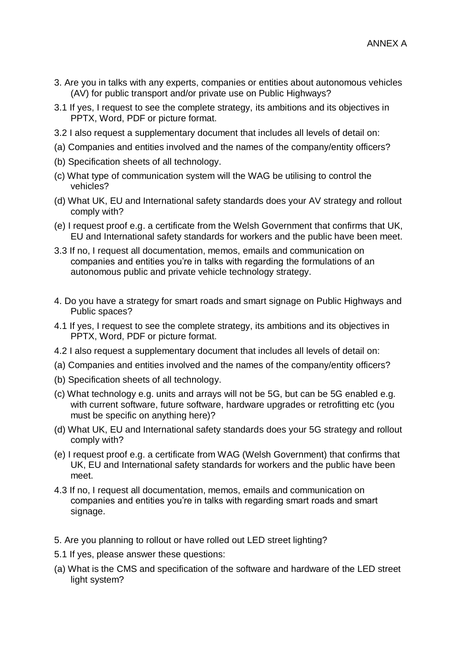- 3. Are you in talks with any experts, companies or entities about autonomous vehicles (AV) for public transport and/or private use on Public Highways?
- 3.1 If yes, I request to see the complete strategy, its ambitions and its objectives in PPTX, Word, PDF or picture format.
- 3.2 I also request a supplementary document that includes all levels of detail on:
- (a) Companies and entities involved and the names of the company/entity officers?
- (b) Specification sheets of all technology.
- (c) What type of communication system will the WAG be utilising to control the vehicles?
- (d) What UK, EU and International safety standards does your AV strategy and rollout comply with?
- (e) I request proof e.g. a certificate from the Welsh Government that confirms that UK, EU and International safety standards for workers and the public have been meet.
- 3.3 If no, I request all documentation, memos, emails and communication on companies and entities you're in talks with regarding the formulations of an autonomous public and private vehicle technology strategy.
- 4. Do you have a strategy for smart roads and smart signage on Public Highways and Public spaces?
- 4.1 If yes, I request to see the complete strategy, its ambitions and its objectives in PPTX, Word, PDF or picture format.
- 4.2 I also request a supplementary document that includes all levels of detail on:
- (a) Companies and entities involved and the names of the company/entity officers?
- (b) Specification sheets of all technology.
- (c) What technology e.g. units and arrays will not be 5G, but can be 5G enabled e.g. with current software, future software, hardware upgrades or retrofitting etc (you must be specific on anything here)?
- (d) What UK, EU and International safety standards does your 5G strategy and rollout comply with?
- (e) I request proof e.g. a certificate from WAG (Welsh Government) that confirms that UK, EU and International safety standards for workers and the public have been meet.
- 4.3 If no, I request all documentation, memos, emails and communication on companies and entities you're in talks with regarding smart roads and smart signage.
- 5. Are you planning to rollout or have rolled out LED street lighting?
- 5.1 If yes, please answer these questions:
- (a) What is the CMS and specification of the software and hardware of the LED street light system?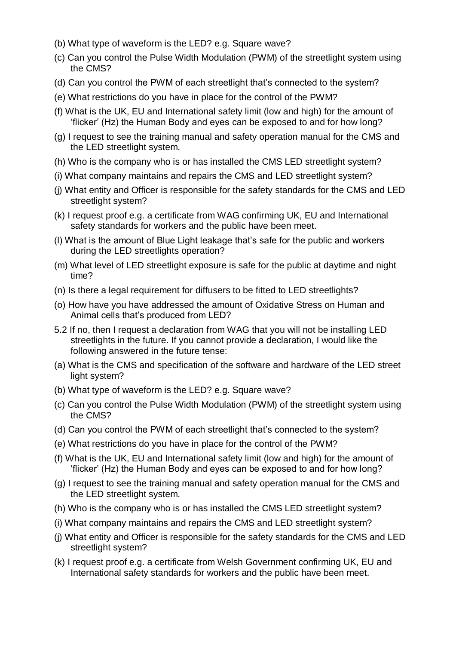- (b) What type of waveform is the LED? e.g. Square wave?
- (c) Can you control the Pulse Width Modulation (PWM) of the streetlight system using the CMS?
- (d) Can you control the PWM of each streetlight that's connected to the system?
- (e) What restrictions do you have in place for the control of the PWM?
- (f) What is the UK, EU and International safety limit (low and high) for the amount of 'flicker' (Hz) the Human Body and eyes can be exposed to and for how long?
- (g) I request to see the training manual and safety operation manual for the CMS and the LED streetlight system.
- (h) Who is the company who is or has installed the CMS LED streetlight system?
- (i) What company maintains and repairs the CMS and LED streetlight system?
- (j) What entity and Officer is responsible for the safety standards for the CMS and LED streetlight system?
- (k) I request proof e.g. a certificate from WAG confirming UK, EU and International safety standards for workers and the public have been meet.
- (l) What is the amount of Blue Light leakage that's safe for the public and workers during the LED streetlights operation?
- (m) What level of LED streetlight exposure is safe for the public at daytime and night time?
- (n) Is there a legal requirement for diffusers to be fitted to LED streetlights?
- (o) How have you have addressed the amount of Oxidative Stress on Human and Animal cells that's produced from LED?
- 5.2 If no, then I request a declaration from WAG that you will not be installing LED streetlights in the future. If you cannot provide a declaration, I would like the following answered in the future tense:
- (a) What is the CMS and specification of the software and hardware of the LED street light system?
- (b) What type of waveform is the LED? e.g. Square wave?
- (c) Can you control the Pulse Width Modulation (PWM) of the streetlight system using the CMS?
- (d) Can you control the PWM of each streetlight that's connected to the system?
- (e) What restrictions do you have in place for the control of the PWM?
- (f) What is the UK, EU and International safety limit (low and high) for the amount of 'flicker' (Hz) the Human Body and eyes can be exposed to and for how long?
- (g) I request to see the training manual and safety operation manual for the CMS and the LED streetlight system.
- (h) Who is the company who is or has installed the CMS LED streetlight system?
- (i) What company maintains and repairs the CMS and LED streetlight system?
- (j) What entity and Officer is responsible for the safety standards for the CMS and LED streetlight system?
- (k) I request proof e.g. a certificate from Welsh Government confirming UK, EU and International safety standards for workers and the public have been meet.